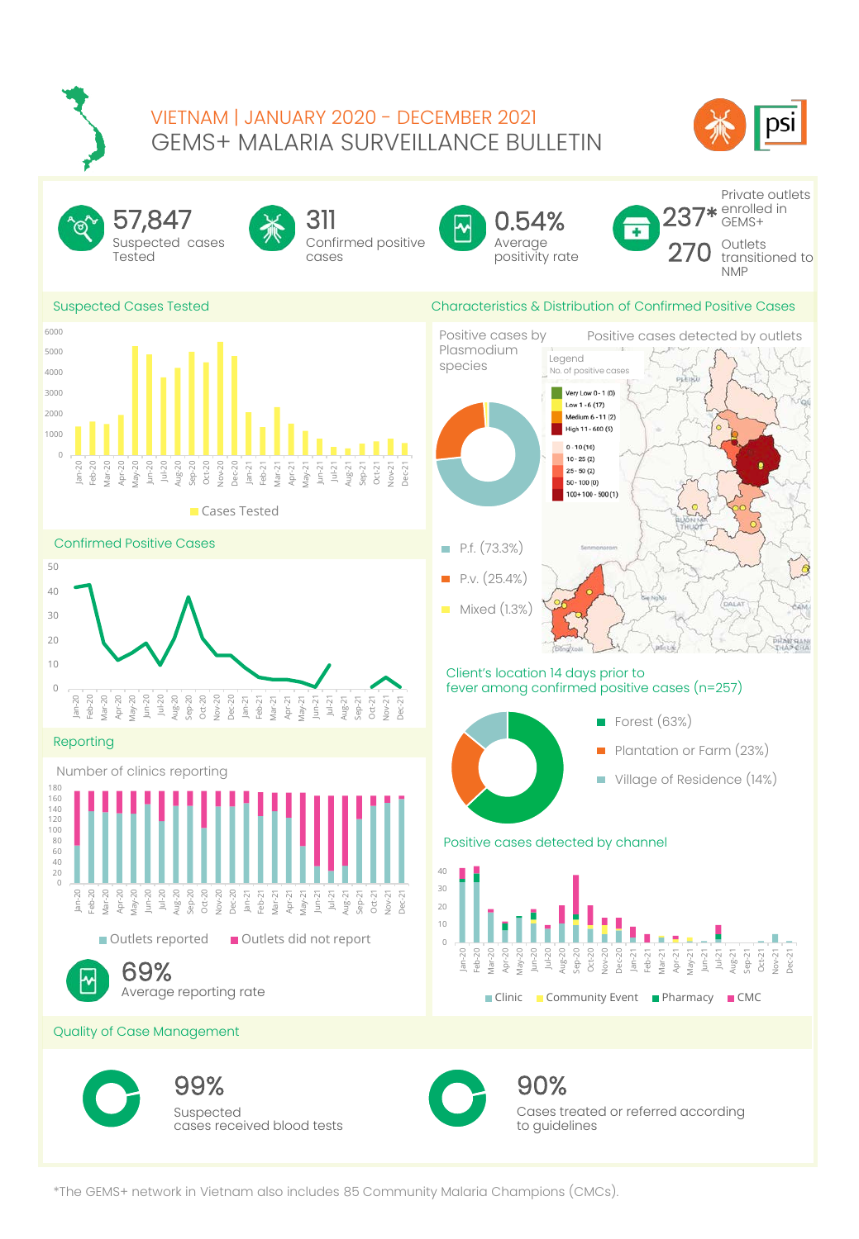## GEMS+ MALARIA SURVEILLANCE BULLETIN VIETNAM | JANUARY 2020 - DECEMBER 2021





<sup>\*</sup>The GEMS+ network in Vietnam also includes 85 Community Malaria Champions (CMCs).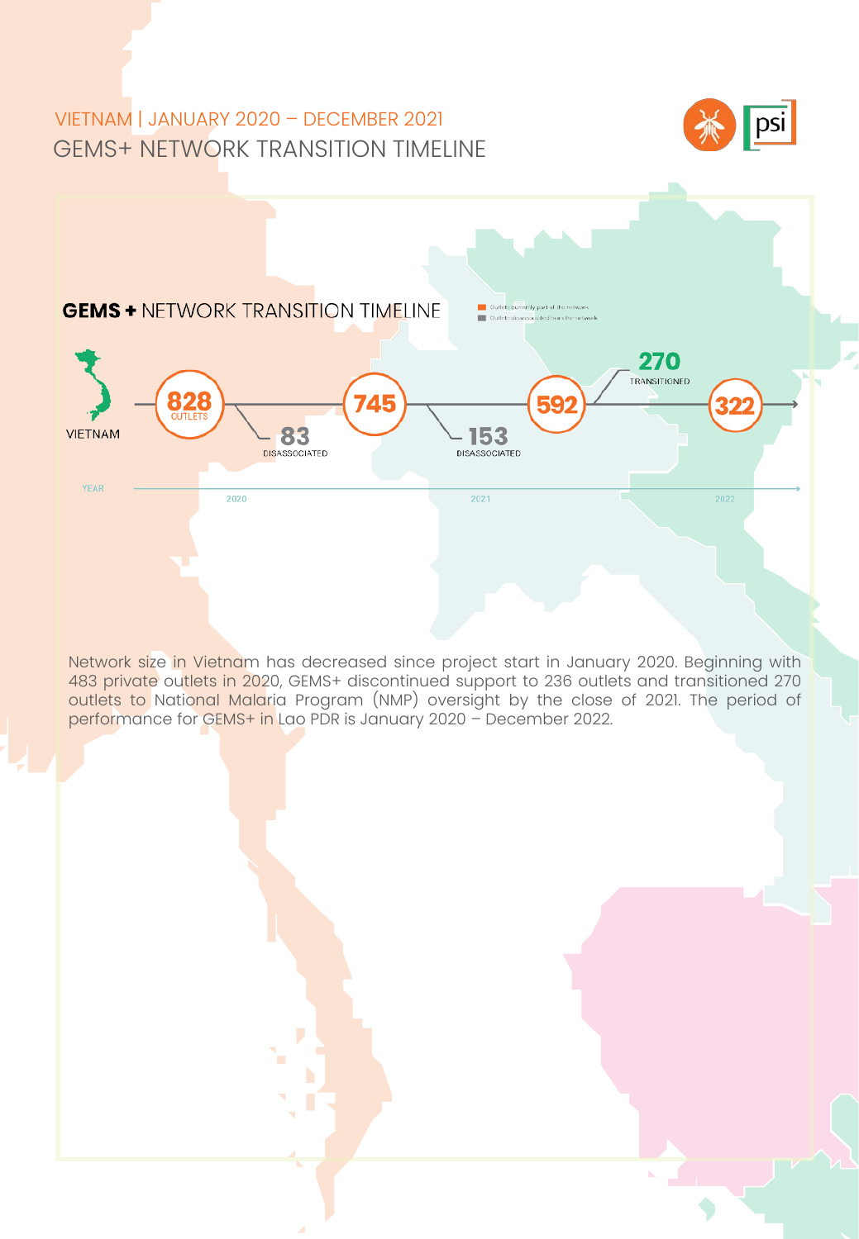# GEMS+ NETWORK TRANSITION TIMELINE VIETNAM | JANUARY 2020 – DECEMBER 2021





483 private outlets in 2020, GEMS+ discontinued support to 236 outlets and transitioned 270 Network size in Vietnam has decreased since project start in January 2020. Beginning with outlets to National Malaria Program (NMP) oversight by the close of 2021. The period of performance for GEMS+ in Lao PDR is January 2020 – December 2022.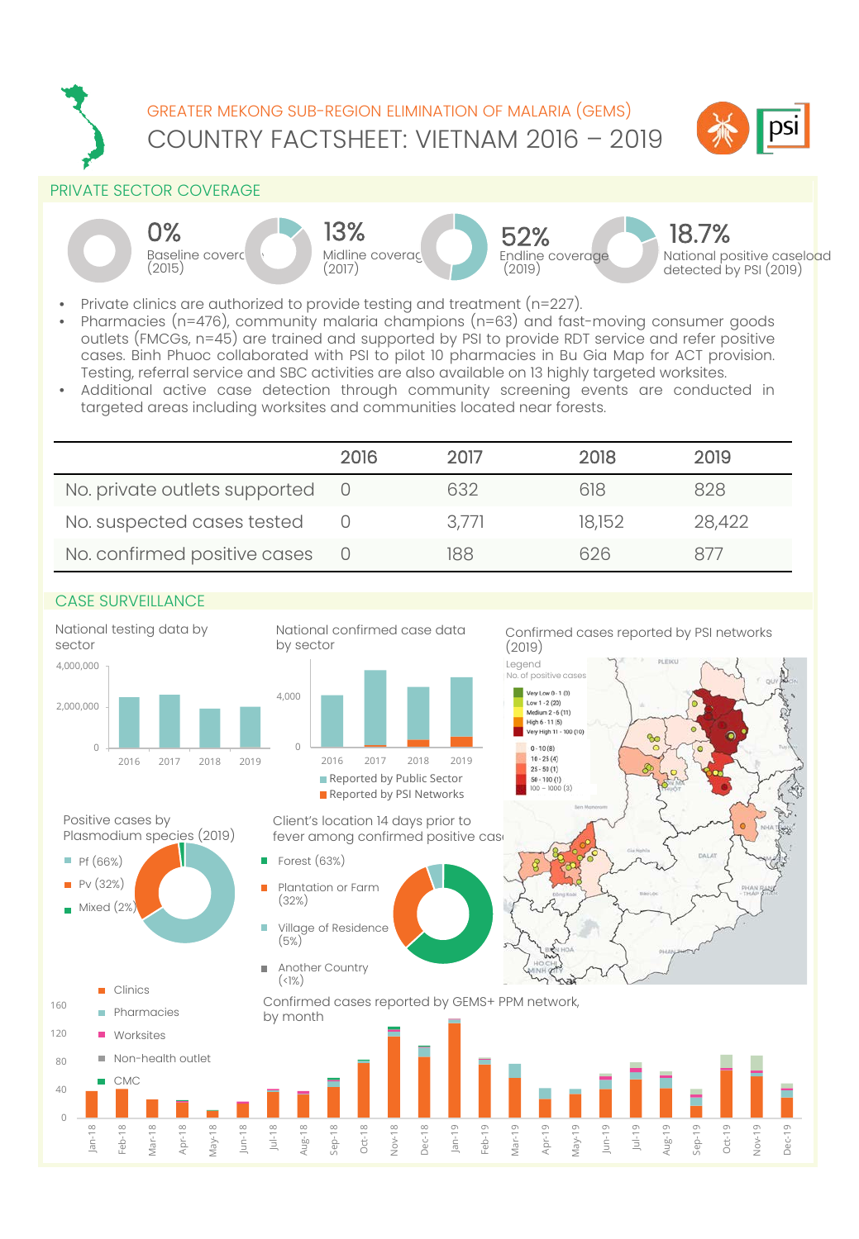

#### PRIVATE SECTOR COVERAGE









National positive caseload detected by PSI (2019) 18.7%

- Private clinics are authorized to provide testing and treatment (n=227).
- Pharmacies (n=476), community malaria champions (n=63) and fast-moving consumer goods outlets (FMCGs, n=45) are trained and supported by PSI to provide RDT service and refer positive cases. Binh Phuoc collaborated with PSI to pilot 10 pharmacies in Bu Gia Map for ACT provision. Testing, referral service and SBC activities are also available on 13 highly targeted worksites.
- Additional active case detection through community screening events are conducted in targeted areas including worksites and communities located near forests.

|                                 | 2016 | 2017  | 2018   | 2019   |
|---------------------------------|------|-------|--------|--------|
| No. private outlets supported 0 |      | 632   | 618    | 828    |
| No. suspected cases tested      |      | 3.771 | 18,152 | 28,422 |
| No. confirmed positive cases    |      | 188   | 626    | 877    |

## CASE SURVEILLANCE